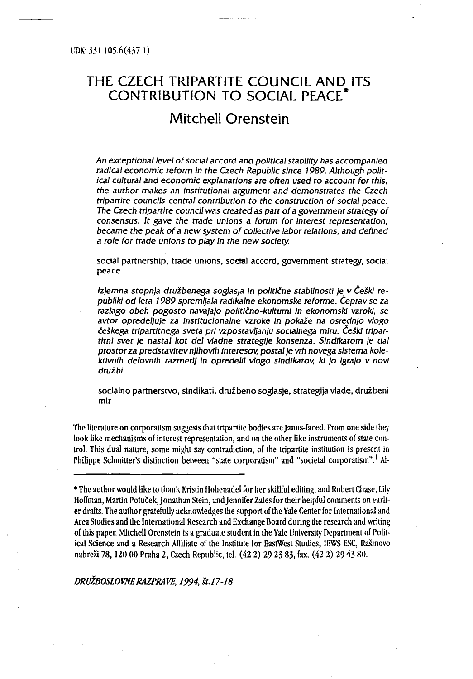# Mitchell Orenstein

An exceptional level of social accord and political stability has accompanied radical economic reform in the Czech Republic since 1989. Although political cultural and economic explanations are often used to account for this, the author makes an institutional argument and demonstrates the Czech tripartite councils central conrriburion to the construction of social peace . The Czech tripartite council was created as part of a government strategy of consensus. It gave the trade unions a forum for interest representation, became the peak of a new system of collective labor relations, and defined a role for trade unions to play in the new society.

social partnership, trade unions, social accord, government strategy, social peace

Izjemna stopnja družbenega soglasja in politične stabilnosti je v Češki republiki od leta 1989 spremljala radikalne ekonomske reforme. Ceprav se za razlago obeh pogosto navajajo politično-kulturni in ekonomski vzroki, se avtor opredeljuje za institucionalne vzroke in pokaže na osrednjo vlogo<br>češkega tripartitnega sveta pri vzpostavljanju socialnega miru. Češki tripartitni svet je nastal kot del vladne strategije konsenza. Sindikatom je dal ktivnih delovnih razmerij in opredelil vlogo sindikatov, ki jo Igrajo v i prostor za predstavitev njihovih interesov, postal je vrh novega sistema koledružbi.

soclalno partnerstvo, sindikati, družbeno soglasje, strategija vlade, družbeni mir

The literature on corporatism suggests that tripartite bodies are Janus-faced . From one side they look like mechanisms of interest representation, and on the other like instruments of state control. This dual nature, some might say contradiction, of the tripartite institution is present in Philippe Schmitter's distinction between "state corporatism" and "societal corporatism".<sup>1</sup> Al-

DRUŽBOSLOVNE RAZPRAVE,1994, st .17-18

<sup>\*</sup> The author would like to thank Kristin Hohenadel for her skillful editing, and Robert Chase, Lily Hoffman, Martin Potuček, Jonathan Stein, and Jennifer Zales for their helpful comments on earlier drafts. The author gratefully acknowledges the support of the Yale Center for International and Area Studies and the International Research and Exchange Board during the research and writing of this paper. Mitchell Orenstein is a graduate student in the Yale University Department of Political Science and a Research Affiliate of the Institute for EastWest Studies, IEWS ESC, Rašinovo nahreži 78, 120 00 Praha 2, Czech Republic, tel . (42 2) 29 23 83, fax . (42 2) 29 43 80 .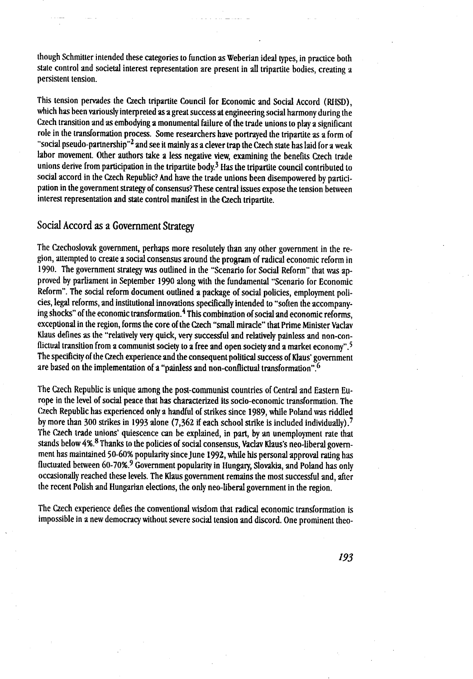though Schmitter intended these categories to function as Weberian ideal types, in practice both state control and societal interest representation are present in all tripartite bodies, creating a persistent tension.

This tension pervades the Czech tripartite Council for Economic and Social Accord (RHSD), which has been variously interpreted as a great success at engineering social harmony during the Czech transition and as embodying a monumental failure of the trade unions to play a significant role in the transformation process . Some researchers have portrayed the tripartite as a form of "social pseudo-partnership"<sup>2</sup> and see it mainly as a clever trap the Czech state has laid for a weak labor movement. Other authors take a less negative view, examining the benefits Czech trade unions derive from participation in the tripartite body.<sup>3</sup> Has the tripartite council contributed to social accord in the Czech Republic? And have the trade unions been disempowered by participation in the government strategy of consensus? These central issues expose the tension between interest representation and state control manifest in the Czech tripartite.

# Social Accord as a Government Strategy

The Czechoslovak government, perhaps more resolutely than any other government in the region, attempted to create a social consensus around the program of radical economic reform in 1990 . The government strategy was outlined in the "Scenario for Social Reform" that was approved by parliament in September 1990 along with the fundamental "Scenario for Economic Reform". The social reform document outlined a package of social policies, employment policies, legal reforms, and institutional innovations specifically intended to "soften the accompanying shocks" of the economic transformation.<sup>4</sup> This combination of social and economic reforms, exceptional in the region, forms the core of the Czech "small miracle" that Prime Minister Vaclav Klaus defines as the "relatively very quick, very successful and relatively painless and non-conflictual transition from a communist society to a free and open society and a market economy" .' The specificity of the Czech experience and the consequent political success of Klaus" government are based on the implementation of a "painless and non-conflictual transformation" 6

The Czech Republic is unique among the post-communist countries of Central and Eastern Europe in the level of social peace that has characterized its socio-economic transformation . The Czech Republic has experienced only a handful of strikes since 1989, while Poland was riddled by more than 300 strikes in 1993 alone (7,362 if each school strike is included individually).<sup>7</sup> The Czech trade unions" quiescence can be explained, in part, by an unemployment rate that stands below 4%.<sup>8</sup> Thanks to the policies of social consensus, Vaclav Klaus's neo-liberal government has maintained 50-60% popularity since June 1992, while his personal approval rating has fluctuated between 60-70%.<sup>9</sup> Government popularity in Hungary, Slovakia, and Poland has only occasionally reached these levels . The Klaus government remains the most successful and, after the recent Polish and Hungarian elections, the only neo-liberal government in the region.

The Czech experience defies the conventional wisdom that radical economic transformation is impossible in a new democracy without severe social tension and discord . One prominent theo-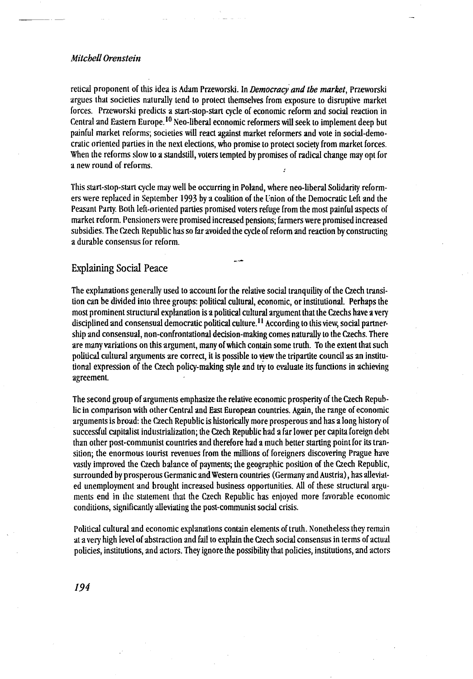retical proponent of this idea is Adam Przeworski. In Democracy and the market, Przeworski argues that societies naturally tend to protect themselves from exposure to disruptive market forces. Przeworski predicts a start-stop-start cycle of economic reform and social reaction in Central and Eastern Europe. <sup>10</sup> Neo-liberal economic reformers will seek to implement deep but painful market reforms; societies will react against market reformers and vote in social-democratic oriented parties in the next elections, who promise to protect society from market forces . When the reforms slow to a standstill, voters tempted by promises of radical change may opt for a new round of reforms.

This start-stop-start cycle may well be occurring in Poland, where neo-liberal Solidarity reformers were replaced in September 1993 by a coalition of the Union of the Democratic Left and the Peasant Party. Both left-oriented parties promised voters refuge from the most painful aspects of market reform. Pensioners were promised increased pensions ; farmers were promised increased subsidies . The Czech Republic has so far avoided the cycle of reform and reaction by constructing a durable consensus for reform.

# Explaining Social Peace

The explanations generally used to account for the relative social tranquility of the Czech transition can be divided into three groups: political cultural, economic, or institutional. Perhaps the most prominent structural explanation is a political cultural argument that the Czechs have a very disciplined and consensual democratic political culture.<sup>11</sup> According to this view, social partnership and consensual, non-confrontational decision-making comes naturally to the Czechs . There are many variations on this argument, many of which contain some truth. To the extent that such political cultural arguments are correct, it is possible to view the tripartite council as an institutional expression of the Czech policy-making style and try to evaluate its functions in achieving agreement.

The second group of arguments emphasize the relative economic prosperity of the Czech Republic in comparison with other Central and East European countries . Again, the range of economic arguments is broad: the Czech Republic is historically more prosperous and has a long history of successful capitalist industrialization; the Czech Republic had a far lower per capita foreign debt than other post-communist countries and therefore had a much better starting point for its transition; the enormous tourist revenues from the millions of foreigners discovering Prague have vastly improved the Czech balance of payments; the geographic position of the Czech Republic, surrounded by prosperous Germanic and Western countries (Germany and Austria), has alleviated unemployment and brought increased husiness opportunities . All of these structural arguments end in the statement that the Czech Republic has enjoyed more favorahle economic conditions, significantly alleviating the post-communist social crisis .

Political cultural and economic explanations contain elements of truth . Nonetheless they remain at a very high level of abstraction and fall to explain the Czech social consensus in terms of actual policies, institutions, and actors . They ignore the possibility that policies, institutions, and actors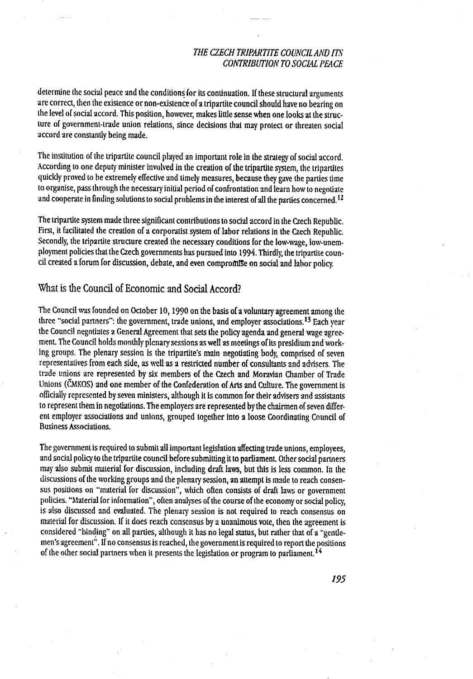determine the social peace and the conditions for its continuation. If these structural arguments are correct, then the existence or non-existence of a tripartite council should have no bearing on the level of social accord. This position, however, makes little sense when one looks at the structure of government-trade union relations, since decisions that may protect or threaten social accord are constantly being made.

The institution of the tripartite council played an important role in the strategy of social accord . According to one deputy minister involved in the creation of the tripartite system, the tripartites quickly proved to he extremely effective and timely measures, because they gave the parties time to organise, pass through the necessary initial period of confrontation and learn how to negotiate and cooperate in finding solutions to social problems in the interest of all the parties concerned.<sup>12</sup>

The tripartite system made three significant contributions to social accord in the Czech Republic. First, it facilitated the creation of a corporatist system of labor relations in the Czech Republic. Secondly, the tripartite structure created the necessary conditions for the low-wage, low-unemployment policies that the Czech governments has pursued into 1994 . Thirdly; the tripartite council created a forum for discussion, debate, and even compromise on social and labor policy.

# What is the Council of Economic and Social Accord?

The Council was founded on October 10, 1990 on the basis of a voluntary agreement among the three "social partners": the government, trade unions, and employer associations.<sup>13</sup> Each year the Council negotiates a General Agreement that sets the policy agenda and general wage agreement. The Council holds monthly plenary sessions as well as meetings of its presidium and working groups. The plenary session is the tripartite's main negotiating body, comprised of seven representatives from each side, as well as a restricted number of consultants and advisers . The trade unions are represented by six members of the Czech and Moravian Chamber of Trade Unions (ČMKOS) and one member of the Confederation of Arts and Culture . The government is officially represented by seven ministers, although it is common for their advisers and assistants to represent them in negotiations. The employers are represented by the chairmen of seven different employer associations and unions, grouped together into a loose Coordinating Council of Business Associations.

The government is required to submit all important legislation affecting trade unions, employees, and social policy to the tripartite council before submitting it to parliament. Other social partners may also submit material for discussion, including draft laws, but this is less common . In the discussions of the working groups and the plenary session, an attempt is made to reach consensus positions on "material for discussion", which often consists of draft laws or government policies. "Material for information", often analyses of the course of the economy or social policy, is also discussed and evaluated. The plenary session is not required to reach consensus on material for discussion . If it does reach consensus by a unanimous vote, then the agreement is considered "binding" on all parties, although it has no legal status, but rather that of a "gentlemen's agreement". If no consensus is reached, the government is required to report the positions of the other social partners when it presents the legislation or program to parliament. 14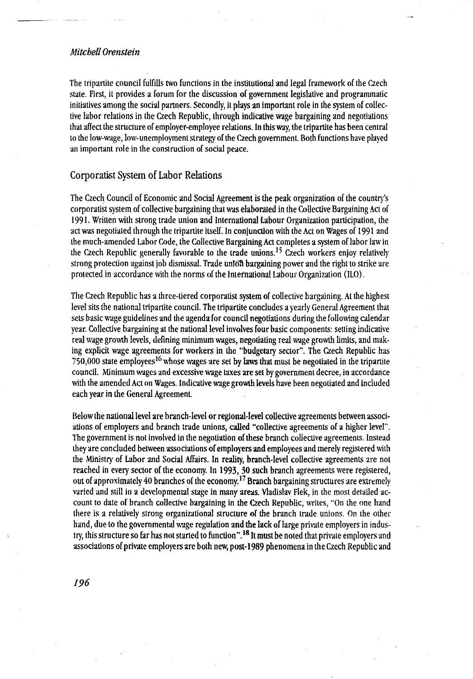The tripartite council fulfills two functions in the institutional and legal framework of the Czech state. First, it provides a forum for the discussion of government legislative and programmatic initiatives among the social partners . Secondly, it plays an important role in the system of collective labor relations in the Czech Republic, through indicative wage bargaining and negotiations that affect the structure of employer-employee relations . In this way, the tripartite has been central to the low-wage, low-unemployment strategy of the Czech government . Both functions have played an important role in the construction of social peace.

## Corporatist System of Labor Relations

The Czech Council of Economic and Social Agreement is the peak organization of the country"s corporatist system of collective bargaining that was elaborated in the Collective Bargaining Act of 1991 . Written with strong trade union and International Labour Organization participation, the act was negotiated through the tripartite itself. In conjunction with the Act on Wages of 1991 and the much-amended Labor Code, the Collective Bargaining Act completes a system of lahor law in the Czech Republic generally favorable to the trade unions.<sup>15</sup> Czech workers enjoy relatively strong protection against job dismissal. Trade union bargaining power and the right to strike are protected in accordance with the norms of the International Labour Organization (ILO) .

The Czech Republic has a three-tiered corporatist system of collective bargaining . At the highest level sits the national tripartite council. The tripartite concludes a yearly General Agreement that sets basic wage guidelines and the agenda for council negotiations during the following calendar year. Collective bargaining at the national level involves four basic components: setting indicative real wage growth levels, defining minimum wages, negotiating real wage growth limits, and making explicit wage agreements for workers in the "budgetary sector". The Czech Republic has 750,000 state employees<sup>16</sup> whose wages are set by laws that must be negotiated in the tripartite council . Minimum wages and excessive wage taxes are set hy government decree, in accordance with the amended Act on Wages. Indicative wage growth levels have been negotiated and included each year in the General Agreement.

Below the national level are branch-level or regional-level collective agreements between associations of employers and branch trade unions, called "collective agreements of a higher level" . The government is not involved in the negotiation of these branch collective agreements . Instead they are concluded between associations of employers and employees and merely registered with the Ministry of Labor and Social Affairs. In reality, branch-level collective agreements are not reached in every sector of the economy . In 1993, 30 such branch agreements were registered, out of approximately 40 branches of the economy.<sup>17</sup> Branch bargaining structures are extremely varied and still in a developmental stage in many areas . Vladislav Flek, in the most detailed account to date of branch collective bargaining in the Czech Republic, writes, "On the one hand there is a relatively strong organizational structure of the branch trade unions . on the other hand, due to the governmental wage regulation and the lack of large private employers in industry, this structure so far has not started to function".<sup>18</sup> It must be noted that private employers and associations of private employers are both new, post-1989 phenomena in the Czech Republic and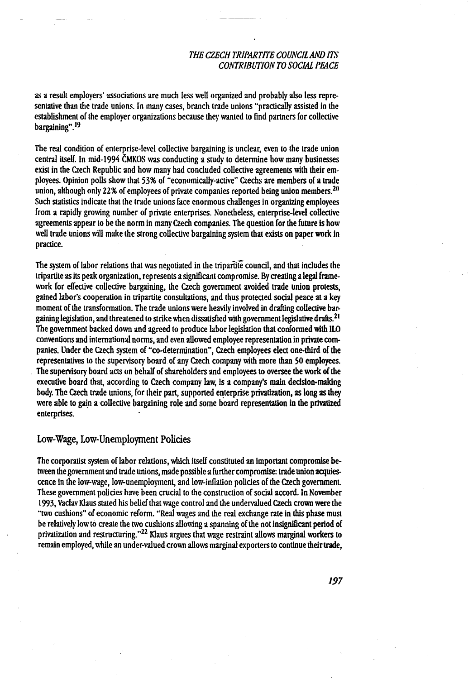as a result employers" associations are much less well organized and probably also less representative than the trade unions. In many cases, branch trade unions "practically assisted in the establishment of the employer organizations because they wanted to find partners for collective bargaining". <sup>19</sup>

The real condition of enterprise-level collective bargaining is unclear, even to the trade union central itself. In mid-1994 ČMKOS was conducting a study to determine how many businesses exist in the Czech Republic and how many had concluded collective agreements with their employees. Opinion polls show that 53% of "economically-active" Czechs are members of a trade union, although only 22% of employees of private companies reported being union members.<sup>20</sup> Such statistics indicate that the trade unions face enormous challenges in organizing employees from a rapidly growing number of private enterprises. Nonetheless, enterprise-level collective agreements appear to be the norm in many Czech companies . The question for the future is how well trade unions will make the strong collective bargaining system that exists on paper work in practice.

The system of lahor relations that was negotiated in the tripartite council, and that includes the tripartite as its peak organization, represents a significant compromise . By creating a legal framework for effective collective bargaining, the Czech government avoided trade union protests, gained labor's cooperation in tripartite consultations, and thus protected social peace at a key moment of the transformation. The trade unions were heavily involved in drafting collective bargaining legislation, and threatened to strike when dissatisfied with government legislative drafts .21 The government backed down and agreed to produce labor legislation that conformed with ILO conventions and international norms, and even allowed employee representation in private companies. Under the Czech system of "co-determination", Czech employees elect one-third of the representatives to the supervisory board of any Czech company with more than 50 employees. The supervisory board acts on behalf of shareholders and employees to oversee the work of the executive board that, according to Czech company law, is a company"s main decision-making body. The Czech trade unions, for their part, supported enterprise privatization, as long as they were able to gain a collective bargaining role and some board representation in the privatized enterprises.

#### Low Wage, Low-Unemployment Policies

The corporatist system of labor relations, which itself constituted an important compromise between the government and trade unions, made possible a further compromise: trade union acquiescence in the low-wage, low-unemployment, and low -inflation policies of the Czech government. These government policies have been crucial to the construction of social accord . In November 1993, Vaclav Klaus stated his belief that wage control and the undervalued Czech crown were the "two cushions" of economic reform. "Real wages and the real exchange rate in this phase must be relatively low to create the two cushions allowing a spanning of the not insignificant period of privatization and restructuring."<sup>22</sup> Klaus argues that wage restraint allows marginal workers to remain employed, while an under-valued crown allows marginal exporters to continue their trade,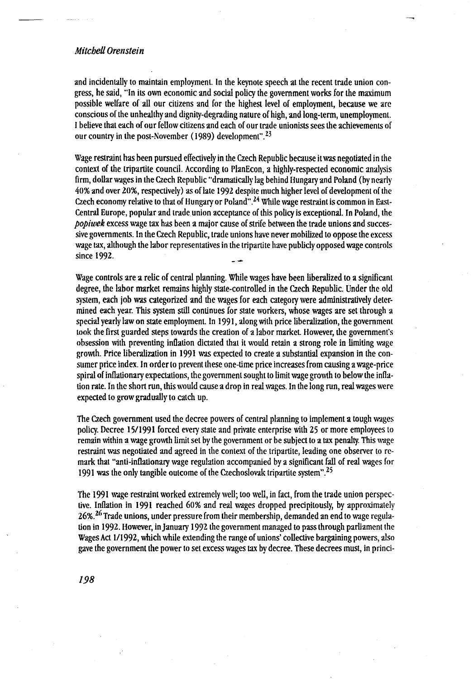and incidentally to maintain employment. In the keynote speech at the recent trade union congress, he said, "In its own economic and social policy the government works for the maximum possible welfare of all our citizens and for the highest level of employment, because we are conscious of the unhealthy and dignity-degrading nature of high, and long-term, unemployment. I believe that each of our fellow citizens and each of our trade unionists sees the achievements of our country in the post-November (1989) development". $23$ 

Wage restraint has been pursued effectively in the Czech Republic because it was negotiated in the context of the tripartite council. According to PlanEcon, a highly-respected economic analysis firm, dollar wages in the Czech Republic "dramatically lag behind Hungary and Poland (by nearly 40% and over 20%, respectively) as of late 1992 despite much higher level of development of the Czech economy relative to that of Hungary or Poland".<sup>24</sup> While wage restraint is common in East-Central Europe, popular and trade union acceptance of this policy is exceptional. In Poland, the popiwek excess wage tax has been a major cause of strife between the trade unions and successive governments . In the Czech Republic, trade unions have never mobilized to oppose the excess wage tax, although the labor representatives in the tripartite have publicly opposed wage controls since 1992.

Wage controls are a relic of central planning. While wages have been liberalized to a significant degree, the labor market remains highly state-controlled in the Czech Republic. Under the old system, each job was categorized and the wages for each category were administratively determined each year. This system still continues for state workers, whose wages are set through a special yearly law on state employment. In 1991, along with price liberalization, the government took the first guarded steps towards the creation of a labor market. However, the government's obsession with preventing inflation dictated that it would retain a strong role in limiting wage growth. Price liberalization in 1991 was expected to create a substantial expansion in the consumer price index. In order to prevent these one-time price increases from causing a wage-price spiral of inflationary expectations, the government sought to limit wage growth to below the inflation rate. In the short run, this would cause a drop in real wages. In the long run, real wages were expected to grow gradually to catch up.

The Czech government used the decree powers of central planning to implement a tough wages policy. Decree 15/1991 forced every state and private enterprise with 25 or more employees to remain within a wage growth limit set by the government or be subject to a tax penalty . This wage restraint was negotiated and agreed in the context of the tripartite, leading one observer to remark that "anti-inflationary wage regulation accompanied by a significant fall of real wages for 1991 was the only tangible outcome of the Czechoslovak tripartite system" . 25

The 1991 wage restraint worked extremely well; too well, in fact, from the trade union perspective. Inflation in 1991 reached 60% and real wages dropped precipitously, by approximately 26%. <sup>26</sup> Trade unions, under pressure from their membership, demanded an end to wage regulation in 1992 . However, in January 1992 the government managed to pass through parliament the Wages Act l/1992, which while extending the range of unions" collective bargaining powers, also gave the government the power to set excess wages tax by decree . These decrees must, in princi-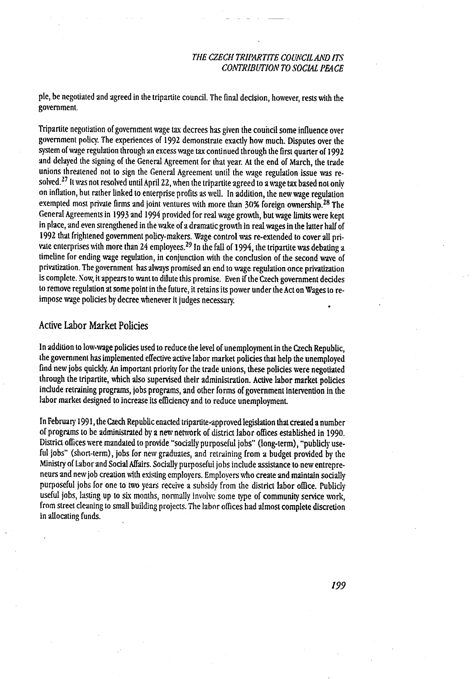ple, be negotiated and agreed in the tripartite council . The final decision, however, rests with the government.

Tripartite negotiation of government wage tax decrees has given the council some influence over government policy. The experiences of 1992 demonstrate exactly how much. Disputes over the system of wage regulation through an excess wage tax continued through the first quarter of 1992 and delayed the signing of the General Agreement for that year. At the end of March, the trade unions threatened not to sign the General Agreement until the wage regulation issue was re solved.<sup>27</sup> It was not resolved until April 22, when the tripartite agreed to a wage tax based not only on inflation, but rather linked to enterprise profits as well. In addition, the new wage regulation exempted most private firms and joint ventures with more than 30% foreign ownership.<sup>28</sup> The General Agreements in 1993 and 1994 provided for real wage growth, but wage limits were kept in place, and even strengthened in the wake of a dramatic growth in real wages in the latter half of 1992 that frightened government policy-makers. Wage control was re-extended to cover all private enterprises with more than 24 employees.<sup>29</sup> In the fall of 1994, the tripartite was debating a timeline for ending wage regulation, in conjunction with the conclusion of the second wave of privatization . The government has always promised an end to wage regulation once privatization is complete. Now, it appears to want to dilute this promise. Even if the Czech government decides to remove regulation at some point in the future, it retains its power under the Act on Wages to reimpose wage policies by decree whenever it judges necessary.

#### Active Labor Market Policies

In addition to low-wage policies used to reduce the level of unemployment in the Czech Republic, the government has implemented effective active labor market policies that help the unemployed find new jobs quickly. An important priority for the trade unions, these policies were negotiated through the tripartite, which also supervised their administration. Active labor market policies include retraining programs, jobs programs, and other forms of government intervention in the labor market designed to increase its efficiency and to reduce unemployment.

In February 1991, the Czech Republic enacted tripartite-approved legislation that created a number of programs to he administrated by a new network of district labor offices established in 1990 . District offices were mandated to provide "socially purposeful jobs" (long-term), "publicly useful jobs" (short-term), jobs for new graduates, and retraining from a budget provided by the Ministry of Labor and Social Affairs . Socially purposeful jobs include assistance to new entrepreneurs and new job creation with existing employers . Employers who create and maintain socially purposeful jobs for one to two years receive a suhsidy from the district labor office . Publicly useful jobs, lasting up to six months, normally involve some type of community service work, from street cleaning to small building projects. The labor offices had almost complete discretion in allocating funds.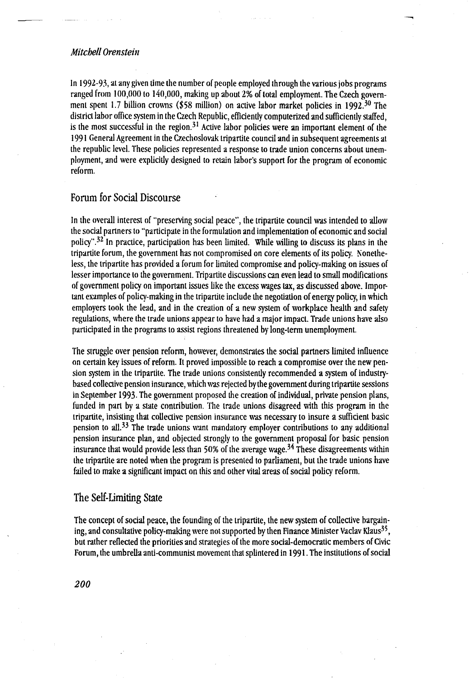In 1992-93, at any given time the number of people employed through the various jobs programs ranged from 100,000 to 140,000, making up about 2% of total employment. The Czech government spent 1.7 billion crowns (\$58 million) on active labor market policies in 1992.<sup>30</sup> The district labor office system in the Czech Republic, efficiently computerized and sufficiently staffed, is the most successful in the region.<sup>31</sup> Active labor policies were an important element of the 1991 General Agreement in the Czechoslovak tripartite council and in subsequent agreements at the republic level. These policies represented a response to trade union concerns about unemployment, and were explicitly designed to retain labor"s support for the program of economic reform .

# Forum for Social Discourse

In the overall interest of "preserving social peace", the tripartite council was intended to allow the social partners to "participate in the formulation and implementation of economic and social policy".<sup>32</sup> In practice, participation has been limited. While willing to discuss its plans in the tripartite forum, the government has not compromised on core elements of its policy less, the tripartite has provided a forum for limited compromise and policy-making on issues of lesser importance to the government. Tripartite discussions can even lead to small modifications of government policy on important issues like the excess wages tax, as discussed above . Important examples of policy-making in the tripartite include the negotiation of energy policy, in which employers took the lead, and in the creation of a new system of workplace health and safety regulations, where the trade unions appear to have had a major impact . Trade unions have also participated in the programs to assist regions threatened by long-term unemployment.

The struggle over pension reform, however, demonstrates the social partners limited influence on certain key issues of reform . It proved impossible to reach a compromise over the new pension system in the tripartite. The trade unions consistently recommended a system of industrybased collective pension insurance, which was rejected by the government during tripartite sessions in September 1993 . The government proposed the creation of individual, private pension plans, funded in part by a state contribution. The trade unions disagreed with this program in the tripartite, insisting that collective pension insurance was necessary to insure a sufficient basic pension to all  $33$  The trade unions want mandatory employer contributions to any additional pension insurance plan, and objected strongly to the government proposal for basic pension insurance that would provide less than 50% of the average wage.<sup>34</sup> These disagreements within the tripartite are noted when the program is presented to parliament, but the trade unions have failed to make a significant impact on this and other vital areas of social policy reform.

#### The Self-Limiting State

The concept of social peace, the founding of the tripartite, the new system of collective bargaining, and consultative policy-making were not supported by then Finance Minister Vaclav Klaus<sup>33</sup> but rather reflected the priorities and strategies of the more social-democratic memhers of Civic Forum, the umbrella anti-communist movement that splintered in 1991 . The institutions of social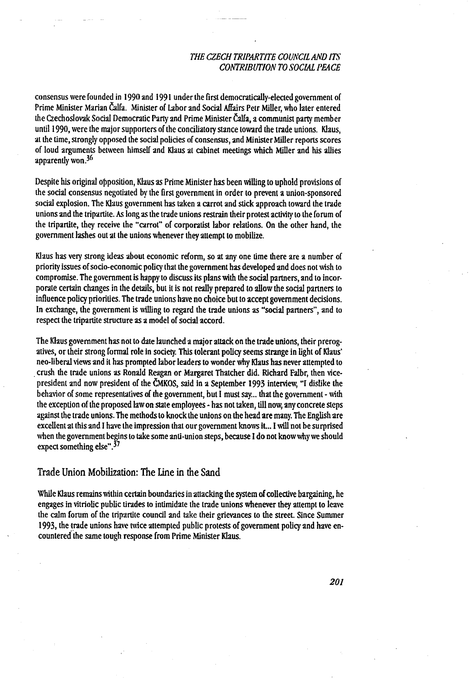consensus were founded in 1990 and 1991 under the first democratically-elected government of Prime Minister Marian Čalfa . Minister of Lahor and Social Affairs Petr Miller, who later entered the Czechoslovak Social Democratic Party and Prime Minister Čalfa, a communist party member until 1990, were the major supporters of the conciliatory stance toward the trade unions . Klaus, at the time, strongly opposed the social policies of consensus, and Minister Miller reports scores of loud arguments between himself and Klaus at cahinet meetings which Miller and his allies apparently won.<sup>36</sup>

Despite his original opposition, Klaus as Prime Minister has been willing to uphold provisions of the social consensus negotiated by the first government in order to prevent a union-sponsored social explosion. The Klaus government has taken a carrot and stick approach toward the trade unions and the tripartite . As long as the trade unions restrain their protest activity to the forum of the tripartite, they receive the "carrot" of corporatist labor relations. On the other hand, the government lashes out at the unions whenever they attempt to mobilize .

Klaus has very strong ideas about economic reform, so at any one time there are a number of priority issues of socio-economic policy that the government has developed and does not wish to compromise. The government is happy to discuss its plans with the social partners, and to incorporate certain changes in the details, hut it is not really prepared to allow the social partners to influence policy priorities. The trade unions have no choice but to accept government decislons. In exchange, the government is willing to regard the trade unions as "social partners", and to respect the tripartite structure as a model of social accord .

The Klaus government has not to date launched a major attack on the trade unions, their prerogatives, or their strong formal role in society. This tolerant policy seems strange in light of Klaus" neo-liberal views and it has prompted labor leaders to wonder why Klaus has never attempted to crush the trade unions as Ronald Reagan or Margaret Thatcher did. Richard Falbr, then vicepresident and now president of the ČMKOS, said in a September 1993 interview, "I dislike the hehavior of some representatives of the government, but I must say... that the government - with the exception of the proposed law on state employees - has not taken, till now, any concrete steps against the trade unions . The methods to knock the unions on the head are many. The English are excellent at this and I have the impression that our government knows it... I will not be surprised when the government begins to take some anti-union steps, because I do not know why we should expect something else".<sup>37</sup>

# Trade Union Mobilization: The Line in the Sand

While Klaus remains within certain boundaries in attacking the system of collective bargaining, he engages in vitriolic public tirades to intimidate the trade unions whenever they attempt to leave the calm forum of the tripartite council and take their grievances to the street . Since Summer 1993, the trade unions have twice attempted public protests of government policy and have encountered the same tough response from Prime Minister Klaus.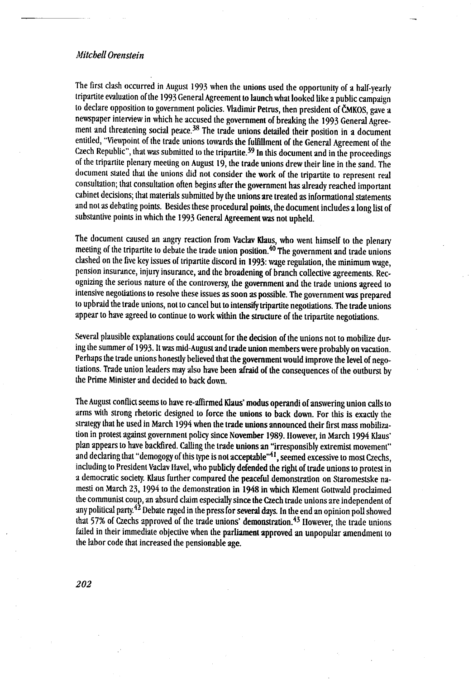The first clash occurred in August 1993 when the unions used the opportunity of a half-yearly tripartite evaluation of the 1993 General Agreement to launch what looked like a public campaign to declare opposition to government policies. Vladimir Petrus, then president of ČMKOS, gave a newspaper interview in which he accused the government of breaking the 1993 General Agreement and threatening social peace.<sup>38</sup> The trade unions detailed their position in a document entitled, "Viewpoint of the trade unions towards the fulfillment of the General Agreement of the Czech Republic", that was submitted to the tripartite.<sup>39</sup> In this document and in the proceedings of the tripartite plenary meeting on August 19, the trade unions drew their line in the sand . The document stated that the unions did not consider the work of the tripartite to represent real consultation; that consultation often begins after the government has already reached important cabinet decisions; that materials submitted by the unions are treated as informational statements and not as debating points. Besides these procedural points, the document includes a long list of substantive points in which the 1993 General Agreement was not upheld.

The document caused an angry reaction from Vaclav Klaus, who went himself to the plenary meeting of the tripartite to debate the trade union position.<sup>40</sup> The government and trade unions clashed on the five key issues of tripartite discord in 1993: wage regulation, the minimum wage, pension insurance, injury insurance, and the broadening of branch collective agreements . Recognizing the serious nature of the controversy, the government and the trade unions agreed to intensive negotiations to resolve these issues as soon as possible . The government was prepared to upbraid the trade unions, not to cancel but to intensify tripartite negotiations. The trade unions appear to have agreed to continue to work within the structure of the tripartite negotiations.

Several plausible explanations could account for the decision of the unions not to mobilize during the summer of 1993. It was mid-August and trade union members were probably on vacation . Perhaps the trade unions honestly believed that the government would improve the level of negotiations. Trade union leaders may also have been afraid of the consequences of the outburst by the Prime Minister and decided to back down.

The August conflict seems to have re-affirmed Klaus" modus operandi of answering union calls to arms with strong rhetoric designed to force the unions to back down . For this is exactly the strategy that he used in March 1994 when the trade unions announced their first mass mobilization in protest against government policy since November 1989 . However, in March 1994 Klaus" plan appears to have backfired. Calling the trade unions an "irresponsibly extremist movement" and declaring that "demogogy of this type is not acceptable"<sup>41</sup>, seemed excessive to most Czechs, including to President Vaclav Havel, who publicly defended the right of trade unions to protest in a democratic society Klaus further compared the peaceful demonstration on Staromestske namesti on March 23, 1994 to the demonstration in 1948 in which Klement Gottwald proclaimed the communist coup, an absurd claim especially since the Czech trade unions are independent of any political party.<sup>42</sup> Debate raged in the press for several days. In the end an opinion poll showed that 57% of Czechs approved of the trade unions' demonstration.<sup>43</sup> However, the trade unions failed in their immediate objective when the parliament approved an unpopular amendment to the labor code that increased the pensionable age.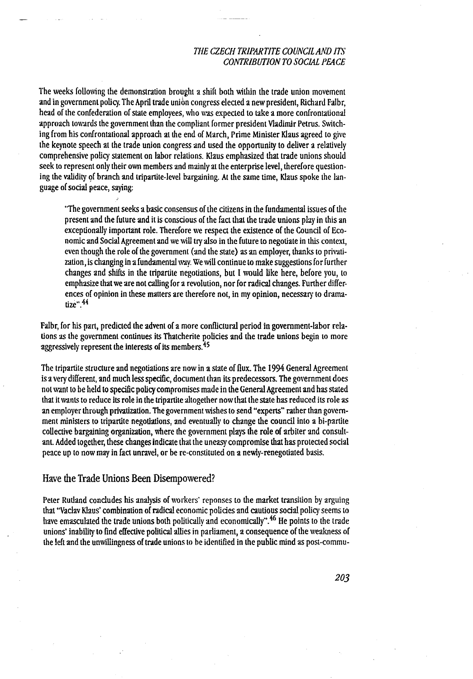The weeks following the demonstration brought a shift both within the trade union movement and in government policy. The April trade union congress elected a new president, Richard Falbr, head of the confederation of state employees, who was expected to take a more confrontational approach towards the government than the compliant former president Vladimir Petrus . Switching from his confrontational approach at the end of March, Prime Minister Klaus agreed to give tbe keynote speech at the trade union congress and used the opportunity to deliver a relatively comprehensive policy statement on labor relations. Klaus emphasized that trade unions should seek to represent only their own members and mainly at the enterprise level, therefore questioning the validity of branch and tripartite-level bargaining . At the same time, Klaus spoke the language of social peace, saying:

"The government seeks a basic consensus of the citizens in the fundamental issues of the present and the future and it is conscious of the fact that the trade unions play in this an exceptionally important role. Therefore we respect the existence of the Council of Economic and Social Agreement and we will try also in the future to negotiate in this context, even though the role of the government (and the state) as an employer, thanks to privatization, is changing in a fundamental way. We will continue to make suggestions for further changes and shifts in the tripartite negotiations, but I would like here, before you, to emphasize that we are not calling for a revolution, nor for radical changes . Further differences of opinion in these matters are therefore not, in my opinion, necessary to dramatize".<sup>44</sup>

Falbr, for his part, predicted the advent of a more conflictural period in government-labor rela tions as the government continues its Thatcherite policies and the trade unions begin to more aggressively represent the interests of its members.<sup>45</sup>

The tripartite structure and negotiations are now in a state of flux . The 1994 General Agreement is a very different, and much less specific, document than its predecessors . The government does not want to be held to specific policy compromises made in the General Agreement and has stated that it wants to reduce its role in the tripartite altogether now that the state has reduced its role as an employer through privatization. The government wishes to send "experts" rather than government ministers to tripartite negotiations, and eventually to change the council into a bi-partite collective bargaining organization, where the government plays the role of arbiter and consultant. Added together, these changes indicate that the uneasy compromise that has protected social peace up to now may in fact unravel, or be re-constituted on a newly-renegotiated basis.

#### Have the Trade Unions Been Disempowered?

Peter Rutland concludes his analysis of workers' reponses to the market transition by arguing that "Vaclav Klaus" combination of radical economic policies and cautious social policy seems to have emasculated the trade unions both politically and economically".<sup>46</sup> He points to the trade unions" inability to find effective political allies in parliament, a consequence of the weakness of the left and the unwillingness of trade unions to be identified in the public mind as post-commu-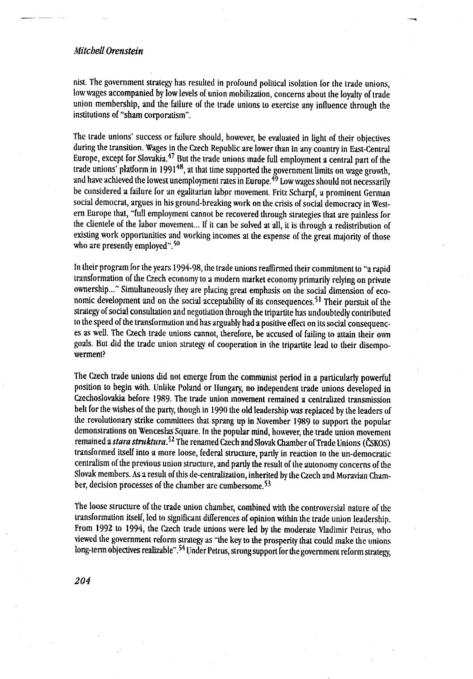nist. The government strategy has resulted in profound political isolation for the trade unions, low wages accompanied by low levels of union mobilization, concerns about the loyalty of trade union membership, and the failure of the trade unions to exercise any influence through the institutions of "sham corporatism".

 $\overline{\phantom{0}}$ 

The trade unions" success or failure should, however, be evaluated in light of their objectives during the transition. Wages in the Czech Republic are lower than in any country in East-Central Europe, except for Slovakia.<sup>47</sup> But the trade unions made full employment a central part of the trade unions" platform in 1991 48, at that time supported the government limits on wage growth, and have achieved the lowest unemployment rates in Europe.<sup>49</sup> Low wages should not necessarily he considered a failure for an egalitarian labor movement . Fritz Scharpf, a prominent German social democrat, argues in his ground-breaking work on the crisis of social democracy in Westem Europe that, "full employment cannot be recovered through strategies that are painless for the clientele of the labor movement ... If it can be solved at all, it is through a redistribution of existing work opportunities and working incomes at the expense of the great majority of those who are presently employed". $50$ 

In their program for the years 1994-98, the trade unions reaffirmed their commitment to "a rapid transformation of the Czech economy to a modern market economy primarily relying on private ownership..." Simultaneously they are placing great emphasis on the social dimension of economic development and on the social acceptability of its consequences.<sup>51</sup> Their pursuit of the strategy of social consultation and negotiation through the tripartite has undoubtedly contributed to the speed of the transformation and has arguably had a positive effect on its social consequences as well. The Czech trade unions cannot, therefore, be accused of failing to attain their own goals. But did the trade union strategy of cooperation in the tripartite lead to their disempowerment?

The Czech trade unions did not emerge from the communist period in a particularly powerful position to begin with. Unlike Poland or Hungary, no independent trade unions developed in Czechoslovakia before 1989 . The trade union movement remained a centralized transmission belt for the wishes of the party though in 1990 the old leadership was replaced by the leaders of the revolutionary strike committees that sprang up in November 1989 to support the popular demonstrations on Wenceslas Square. In the popular mind, however, the trade union movement remained a stara struktura.<sup>52</sup> The renamed Czech and Slovak Chamber of Trade Unions (ČSKOS) transformed itself into a more loose, federal structure, partly in reaction to the un-democratic centralism of the previous union structure, and partly the result of the autonomy concerns of the Slovak members. As a result of this de-centralization, inherited by the Czech and Moravian Champer, decision processes of the chamber are cumbersome.<sup>33</sup>

The loose structure of the trade union chamber, combined with the controversial nature of the transformation itself, led to significant differences of opinion within the trade union leadership . From 1992 to 1994, the Czech trade unions were led by the moderate Vladimir Petrus, who viewed the government reform strategy as "the key to the prosperity that could make the unions long-term objectives realizable".<sup>54</sup> Under Petrus, strong support for the government reform strategy,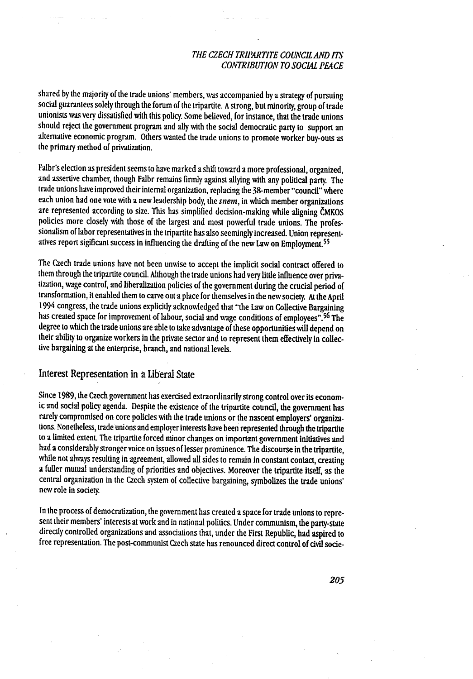shared by the majority of the trade unions" members, was accompanied by a strategy of pursuing social guarantees solely through the forum of the tripartite. A strong, but minority, group of trade unionists was very dissatisfied with this policy. Some believed, for instance, that the trade unions should reject the government program and ally with the social democratic party to support an alternative economic program . Others wanted the trade unions to promote worker buy-outs as the primary method of privatization.

Falbr"s election as president seems to have marked a shift toward a more professional, organized, and assertive chamber, though Falbr remains firmly against allying with any political party . The trade unions have improved their internal organization, replacing the 38-member "council" where each union had one vote with a new leadership body, the snem, in which member organizations are represented according to size . This has simplified decision-making while aligning ČMKOS policies more closely with those of the largest and most powerful trade unions. The professionalism of labor representatives in the tripartite has also seemingly increased . Union representatives report sigificant success in influencing the drafting of the new Law on Employment.<sup>55</sup>

The Czech trade unions have not been unwise to accept the implicit social contract offered to them through the tripartite council. Although the trade unions had very little influence over privatization, wage control, and liberalization policies of the government during the crucial period of transformation, it enabled them to carve out a place for themselves in the new society . At the April 1994 congress, the trade unions explicitly acknowledged that "the Law on Collective Bargaining has created space for improvement of labour, social and wage conditions of employees".<sup>56</sup> The degree to which the trade unions are able to take advantage of these opportunities will depend on their ability to organize workers in the private sector and to represent them effectively in collective bargaining at the enterprise, branch, and national levels.

# Interest Representation in a Liberal State

Since 1989, the Czech government has exercised extraordinarily strong control over its economic and social policy agenda. Despite the existence of the tripartite council, the government has rarely compromised on core policies with the trade unions or the nascent employers" organizations\_ Nonetheless, trade unions and employer interests have been represented through the tripartite to a limited extent. The tripartite forced minor changes on important government initiatives and had a considerably stronger voice on issues of lesser prominence . The discourse in the tripartite, while not always resulting in agreement, allowed all sides to remain in constant contact, creating a fuller mutual understanding of priorities and objectives . Moreover the tripartite itself, as the central organization in the Czech system of collective bargaining, symbolizes the trade unions" new role in society

In the process of democratization, the government has created a space for trade unions to represent their members' interests at work and in national politics. Under communism, the party-state directly controlled organizations and associations that, under the First Republic, had aspired to free representation . The post-communist Czech state has renounced direct control of civil socie-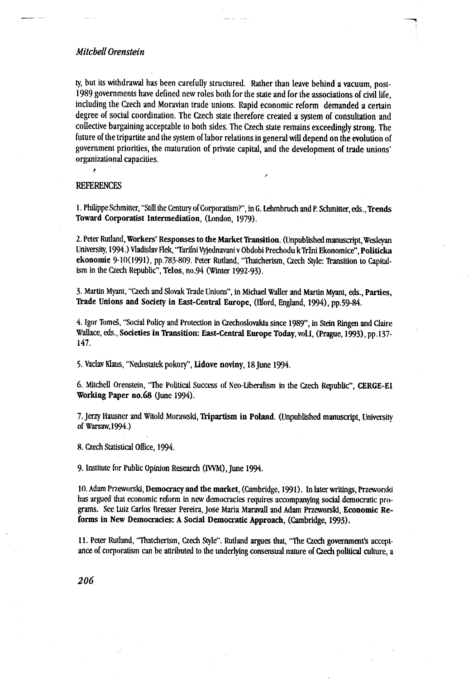ty, but its withdrawal has been carefully structured . Rather than leave behind a vacuum, post-1989 governments have defined new roles both for the state and for the associations of civil life, including the Czech and Moravian trade unions . Rapid economic reform demanded a certain degree of social coordination. The Czech state therefore created a system of consultation and collective bargaining acceptable to both sides . The Czech state remains exceedingly strong . The future of the tripartite and the system of labor relations in general will depend on the evolution of government priorities, the maturation of private capital, and the development of trade unions" organizational capacities .

#### REFERENCES

J.

<sup>1</sup> . Philippe Schmitter, "Still the Century of Corporatism?", in G . Lehmbruch and P. Schmiuer, eds ., Trends Toward Corporatist Intermediation, (London, 1979) .

f

2 . Peter Rutland, Workers" Responses to the Market Transition . (Unpublished manuscript, Wesleyan University, 1994 .) Vladislav Flek, "Tarifni Vyjednavani v Obdobi Prechodu k Tržni Ekonomice", Politicka ekonomie 9-10(1991), pp.783-809. Peter Rutland, "Thatcherism, Czech Style: Transition to Capitalism in the Czech Republic", Telos, no .94 (Winter 1992-93) .

3. Martin Myant, "Czech and Slovak Trade Unions", in Michael Waller and Martin Myant, eds., Parties, Trade Unions and Society in East-Central Europe, (Ilford, England, 1994), pp.59-84.

4 . Igor Tomes, "Social Policy and Protection in Czechoslovakia since 1989", in Stein Ringen and Claire Wallace, eds., Societies in Transition: East-Central Europe Today, vol.I. (Prague, 1993), pp.137-147.

5 . Vaclav Klaus, "Nedostatek pokory", Lidove noviny, 18 June 1994 .

6. Mitchell Orenstein, "The Political Success of Neo-Liberalism in the Czech Republic", CERGE-El Working Paper no.68 (June 1994) .

7. Jerzy Hausner and Witold Morawski, Tripartism in Poland. (Unpublished manuscript, University of Warsaw,1994 .)

8 . Czech Statistical Office, 1994 .

9. Institute for Public Opinion Research (IVVM), June 1994.

10. Adam Przeworski, Democracy and the market, (Cambridge, 199 1) . In later writings, Przeworski has argued that economic reform in new democracies requires accompanying social democratic programs. See Luiz Carlos Bresser Pereira, Jose Maria Maravall and Adam Przeworski, Economic Reforms in New Democracies: A Social Democratic Approach, (Cambridge, 1993) .

11 . Peter Rutland, "Thatcherism, Czech Style" . Rutland argues that, "The Czech government's acceptance of corporatism can be attributed to the underlying consensual nature of Czech political culture, a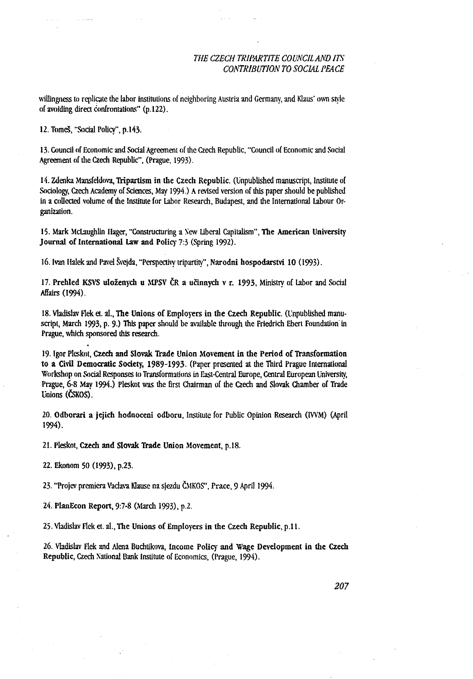willingness to replicate the labor institutions of neighboring Austria and Germany, and Klaus" own style of avoiding direct confrontations" (p .122) .

12. Tomeš, "Social Policy", p.143.

13 . Council of Economic and Social Agreement of the Czech Republic, "Council of Economic and Social Agreement of the Czech Republic", (Prague, 1993) .

14. Zdenka Mansfeldova, Tripartism in the Czech Republic. (Unpublished manuscript, Institute of Sociology, Czech Academy of Sciences, May 1994 .) A revised version of this paper should be published in a collected volume of the Institute for Labor Research, Budapest, and the International Labour Organization.

15 . Mark McLaughlin Hager, "Constructuring a New Liberal Capitalism", The American University Journal of International Law and Policy 7:3 (Spring 1992).

16 . Ivan Halek and Pavel Švejda, "Perspectivy tripartity", Narodni hospodarstvi 10 (1993) .

17. Prehled KSVS uloženych u MPSV ČR a učinnych v r. 1993, Ministry of Labor and Social Affairs (1994) .

18. Vladislav Flek et. al., The Unions of Employers in the Czech Republic. (Unpublished manuscript, March 1993, p. 9.) This paper should be available through the Friedrich Ebert Foundation in Prague, which sponsored this research.

19 . Igor Pleskot, Czech and Slovak Trade Union Movement in the Period of Transformation to a Civil Democratic Society, 1989-1993 . (Paper presented at the Third Prague International Workshop on Social Responses to Transformations in East-Central Europe, Central European University Prague, 6-8 May 1994.) Pleskot was the first Chairman of the Czech and Slovak Chamber of Trade Unions (ČSKOS) .

20 . Odborari a jejich hodnoceni odboru, Institute for Public Opinion Research (IVVM) (April 1994) .

21. Pleskot, Czech and Slovak Trade Union Movement, p.18.

22. Ekonom 50 (1993), p.23.

23 . "Projev premiera Vadava Klause na sjezdu ČMKOS", Prace, 9 April 1994 .

24. PlanEcon Report, 9:7-8 (March 1993), p.2.

25. Vladislav Flek et. al., The Unions of Employers in the Czech Republic, p.11.

26 . Vladislav Flek and Alena Buchtikova, Income Policy and Wage Development in the Czech Republic, Czech National Bank Institute of Economics, (Prague, 1994) .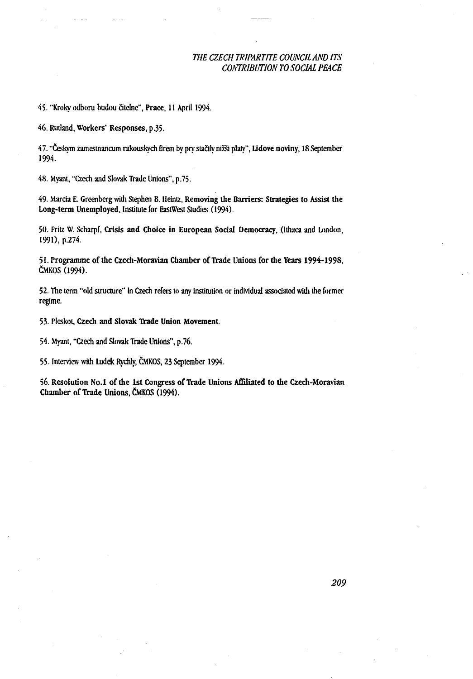45. "Kroky odboru budou čitelne", Prace, 11 April 1994.

46 . Rutland, Workers' Responses, p .35 .

47 . " Českym zamestnancum rakouskych firem by pry stačily nižši platy", Lidove noviny, 18 September 1994.

48. Myant, "Czech and Slovak Trade Unions", p.75.

49. Marcia E. Greenberg with Stephen B. Heintz, Removing the Barriers: Strategies to Assist the Long-term Unemployed, Institute for EastWest Studies (1994).

50. Fritz W. Scharpf, Crisis and Choice in European Social Democracy, (Ithaca and London, 1991), p.274.

51 . Programme of the Czech-Moravian Chamber of Trade Unions for the Years 1994-1998, ČMKOS (1994).

52 . The term "old structure" in Czech refers to any institution or individual associated with the former regime.

53. Pleskot, Czech and Slovak Trade Union Movement.

54. Myant, "Czech and Slovak Trade Unions", p.76.

55 . Interview with Ludek Rychly, Č MKOS, 23 September 1994 .

56. Resolution No.1 of the 1st Congress of Trade Unions Affiliated to the Czech-Moravian Chamber of Trade Unions, ČMKOS (1994).